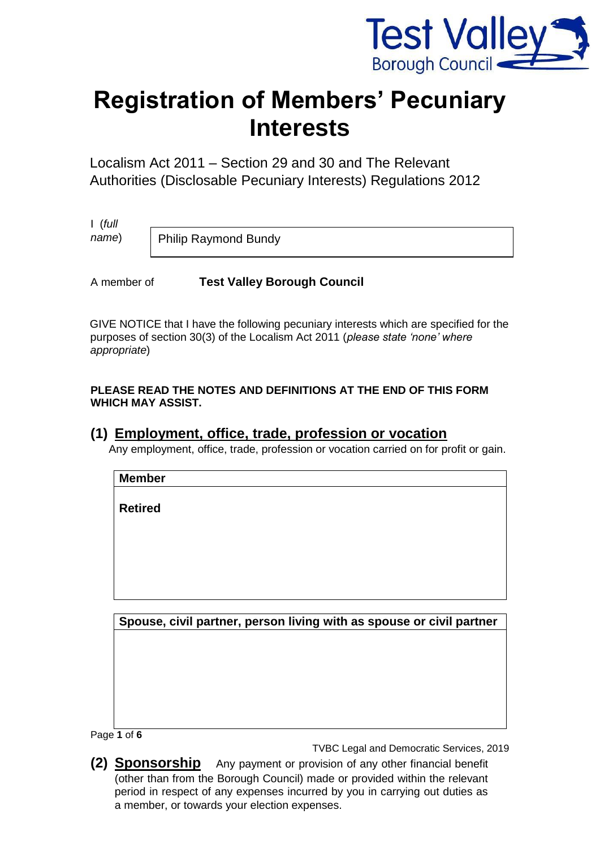

# **Registration of Members' Pecuniary Interests**

Localism Act 2011 – Section 29 and 30 and The Relevant Authorities (Disclosable Pecuniary Interests) Regulations 2012

I (*full name*)

Philip Raymond Bundy

A member of **Test Valley Borough Council** 

GIVE NOTICE that I have the following pecuniary interests which are specified for the purposes of section 30(3) of the Localism Act 2011 (*please state 'none' where appropriate*)

**PLEASE READ THE NOTES AND DEFINITIONS AT THE END OF THIS FORM WHICH MAY ASSIST.** 

## **(1) Employment, office, trade, profession or vocation**

Any employment, office, trade, profession or vocation carried on for profit or gain.

**Member** 

**Retired** 

**Spouse, civil partner, person living with as spouse or civil partner**

Page **1** of **6**

TVBC Legal and Democratic Services, 2019

**(2) Sponsorship** Any payment or provision of any other financial benefit (other than from the Borough Council) made or provided within the relevant period in respect of any expenses incurred by you in carrying out duties as a member, or towards your election expenses.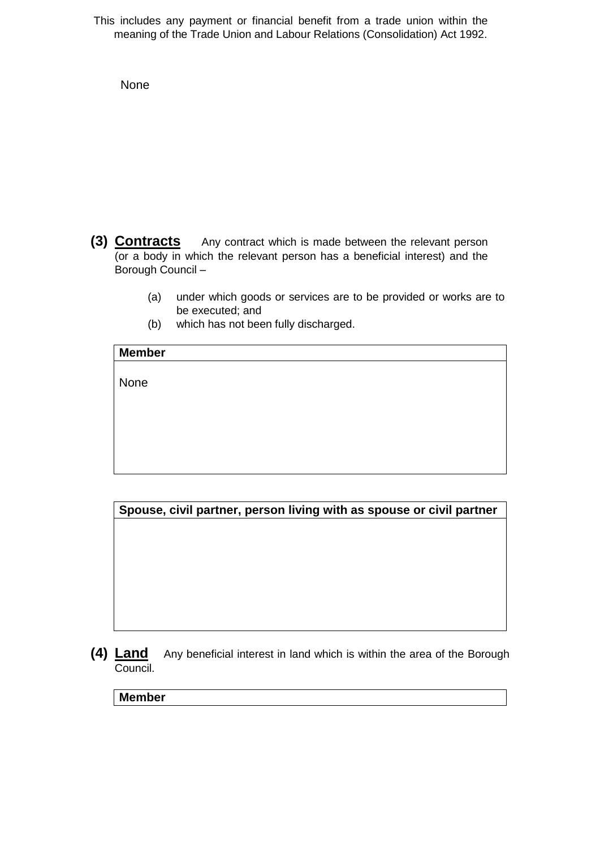This includes any payment or financial benefit from a trade union within the meaning of the Trade Union and Labour Relations (Consolidation) Act 1992.

None

- **(3) Contracts** Any contract which is made between the relevant person (or a body in which the relevant person has a beneficial interest) and the Borough Council –
	- (a) under which goods or services are to be provided or works are to be executed; and
	- (b) which has not been fully discharged.

| <b>Member</b> |
|---------------|
|               |
| None          |
|               |
|               |
|               |
|               |

**Spouse, civil partner, person living with as spouse or civil partner**

**(4) Land** Any beneficial interest in land which is within the area of the Borough Council.

**Member**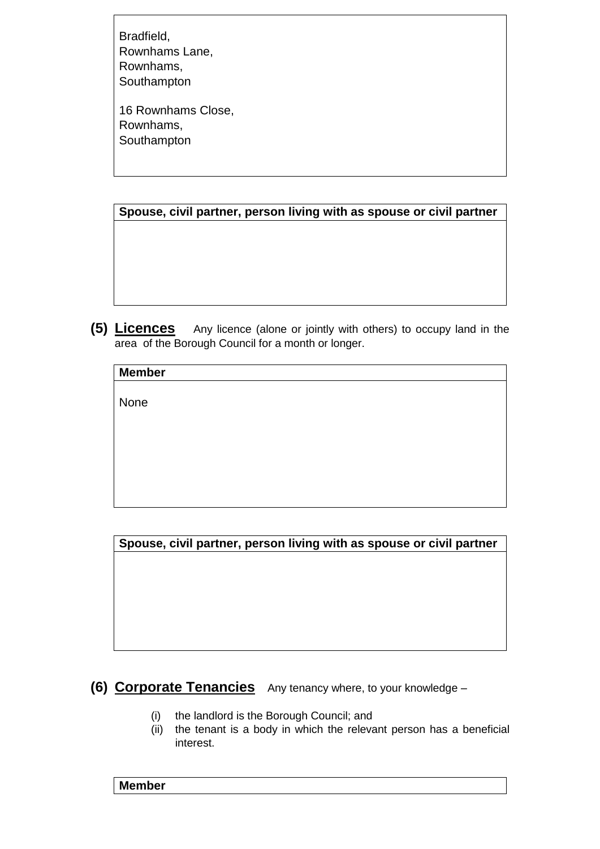Bradfield, Rownhams Lane, Rownhams, Southampton

16 Rownhams Close, Rownhams, Southampton

**Spouse, civil partner, person living with as spouse or civil partner**

**(5) Licences** Any licence (alone or jointly with others) to occupy land in the area of the Borough Council for a month or longer.

| <b>Member</b> |  |
|---------------|--|
|               |  |
| None          |  |
|               |  |
|               |  |
|               |  |
|               |  |

**Spouse, civil partner, person living with as spouse or civil partner**

# **(6) Corporate Tenancies** Any tenancy where, to your knowledge –

- (i) the landlord is the Borough Council; and
- (ii) the tenant is a body in which the relevant person has a beneficial interest.

**Member**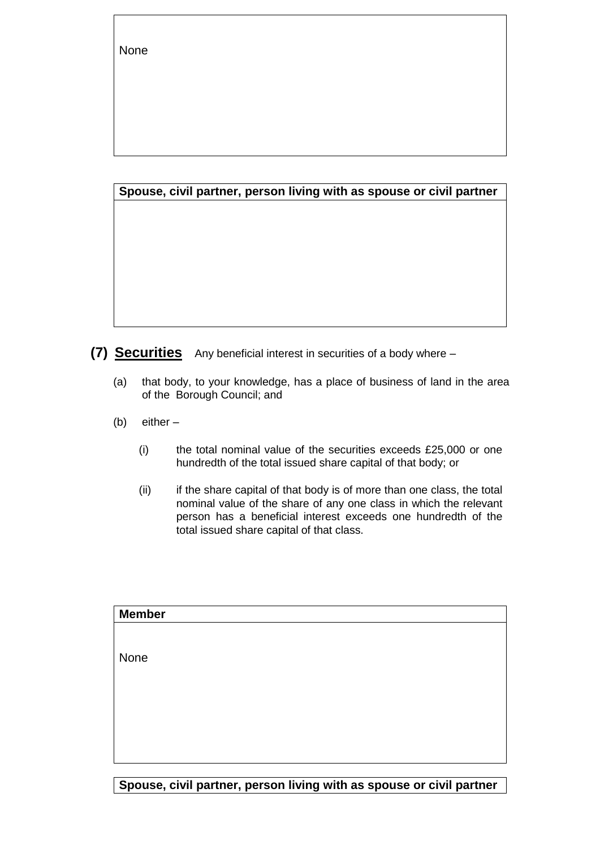None

#### **Spouse, civil partner, person living with as spouse or civil partner**

**(7) Securities** Any beneficial interest in securities of a body where –

- (a) that body, to your knowledge, has a place of business of land in the area of the Borough Council; and
- (b) either
	- (i) the total nominal value of the securities exceeds £25,000 or one hundredth of the total issued share capital of that body; or
	- (ii) if the share capital of that body is of more than one class, the total nominal value of the share of any one class in which the relevant person has a beneficial interest exceeds one hundredth of the total issued share capital of that class.

| <b>Member</b> |  |
|---------------|--|
|               |  |
|               |  |
| None          |  |
|               |  |
|               |  |
|               |  |
|               |  |
|               |  |
|               |  |

**Spouse, civil partner, person living with as spouse or civil partner**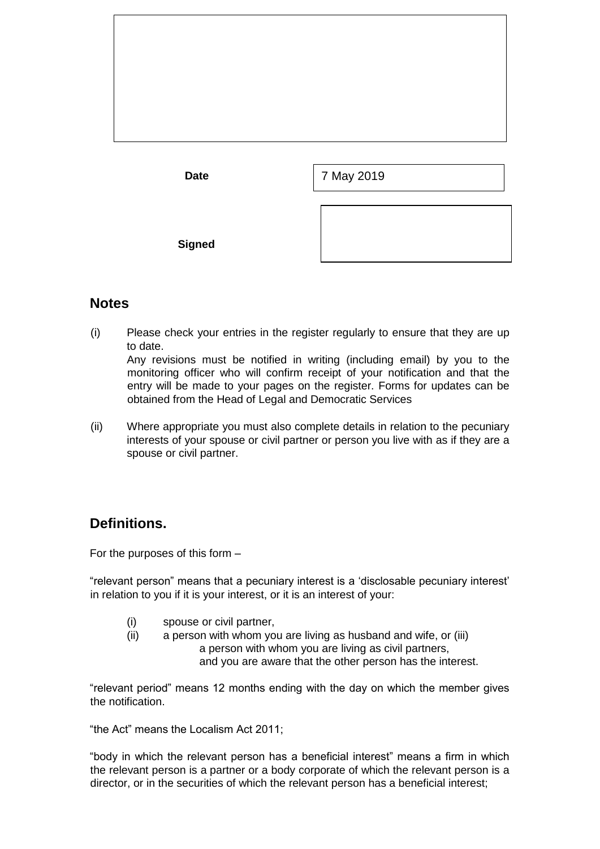

### **Notes**

(i) Please check your entries in the register regularly to ensure that they are up to date.

Any revisions must be notified in writing (including email) by you to the monitoring officer who will confirm receipt of your notification and that the entry will be made to your pages on the register. Forms for updates can be obtained from the Head of Legal and Democratic Services

(ii) Where appropriate you must also complete details in relation to the pecuniary interests of your spouse or civil partner or person you live with as if they are a spouse or civil partner.

# **Definitions.**

For the purposes of this form –

"relevant person" means that a pecuniary interest is a 'disclosable pecuniary interest' in relation to you if it is your interest, or it is an interest of your:

(i) spouse or civil partner,

(ii) a person with whom you are living as husband and wife, or (iii) a person with whom you are living as civil partners, and you are aware that the other person has the interest.

"relevant period" means 12 months ending with the day on which the member gives the notification.

"the Act" means the Localism Act 2011;

"body in which the relevant person has a beneficial interest" means a firm in which the relevant person is a partner or a body corporate of which the relevant person is a director, or in the securities of which the relevant person has a beneficial interest;